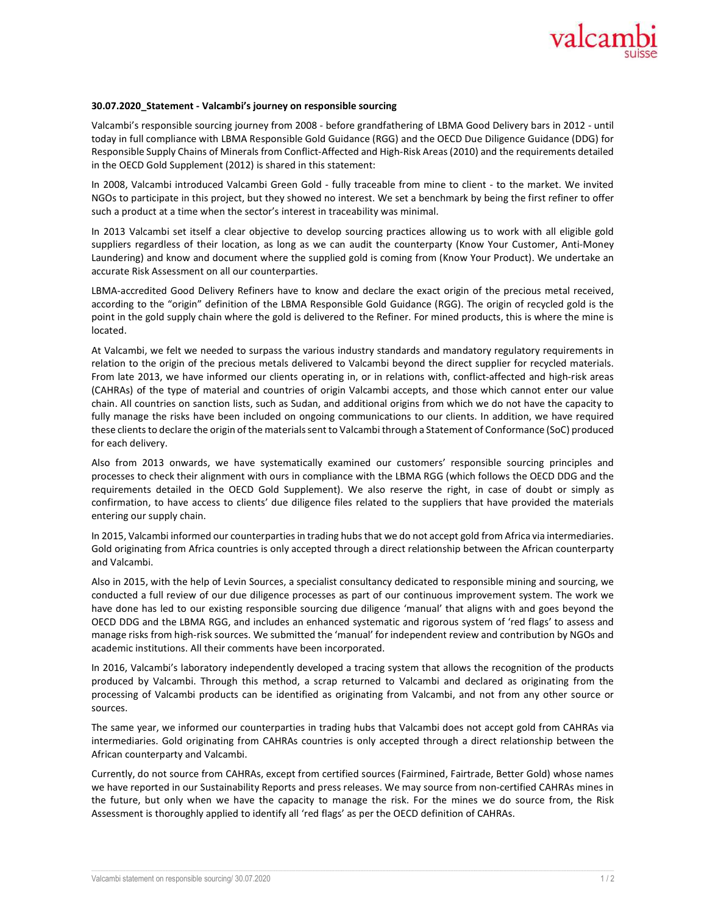

## 30.07.2020\_Statement - Valcambi's journey on responsible sourcing

Valcambi's responsible sourcing journey from 2008 - before grandfathering of LBMA Good Delivery bars in 2012 - until today in full compliance with LBMA Responsible Gold Guidance (RGG) and the OECD Due Diligence Guidance (DDG) for Responsible Supply Chains of Minerals from Conflict-Affected and High-Risk Areas (2010) and the requirements detailed in the OECD Gold Supplement (2012) is shared in this statement:

In 2008, Valcambi introduced Valcambi Green Gold - fully traceable from mine to client - to the market. We invited NGOs to participate in this project, but they showed no interest. We set a benchmark by being the first refiner to offer such a product at a time when the sector's interest in traceability was minimal.

In 2013 Valcambi set itself a clear objective to develop sourcing practices allowing us to work with all eligible gold suppliers regardless of their location, as long as we can audit the counterparty (Know Your Customer, Anti-Money Laundering) and know and document where the supplied gold is coming from (Know Your Product). We undertake an accurate Risk Assessment on all our counterparties.

LBMA-accredited Good Delivery Refiners have to know and declare the exact origin of the precious metal received, according to the "origin" definition of the LBMA Responsible Gold Guidance (RGG). The origin of recycled gold is the point in the gold supply chain where the gold is delivered to the Refiner. For mined products, this is where the mine is located.

At Valcambi, we felt we needed to surpass the various industry standards and mandatory regulatory requirements in relation to the origin of the precious metals delivered to Valcambi beyond the direct supplier for recycled materials. From late 2013, we have informed our clients operating in, or in relations with, conflict-affected and high-risk areas (CAHRAs) of the type of material and countries of origin Valcambi accepts, and those which cannot enter our value chain. All countries on sanction lists, such as Sudan, and additional origins from which we do not have the capacity to fully manage the risks have been included on ongoing communications to our clients. In addition, we have required these clients to declare the origin of the materials sent to Valcambi through a Statement of Conformance (SoC) produced for each delivery.

Also from 2013 onwards, we have systematically examined our customers' responsible sourcing principles and processes to check their alignment with ours in compliance with the LBMA RGG (which follows the OECD DDG and the requirements detailed in the OECD Gold Supplement). We also reserve the right, in case of doubt or simply as confirmation, to have access to clients' due diligence files related to the suppliers that have provided the materials entering our supply chain.

In 2015, Valcambi informed our counterparties in trading hubs that we do not accept gold from Africa via intermediaries. Gold originating from Africa countries is only accepted through a direct relationship between the African counterparty and Valcambi.

Also in 2015, with the help of Levin Sources, a specialist consultancy dedicated to responsible mining and sourcing, we conducted a full review of our due diligence processes as part of our continuous improvement system. The work we have done has led to our existing responsible sourcing due diligence 'manual' that aligns with and goes beyond the OECD DDG and the LBMA RGG, and includes an enhanced systematic and rigorous system of 'red flags' to assess and manage risks from high-risk sources. We submitted the 'manual' for independent review and contribution by NGOs and academic institutions. All their comments have been incorporated.

In 2016, Valcambi's laboratory independently developed a tracing system that allows the recognition of the products produced by Valcambi. Through this method, a scrap returned to Valcambi and declared as originating from the processing of Valcambi products can be identified as originating from Valcambi, and not from any other source or sources.

The same year, we informed our counterparties in trading hubs that Valcambi does not accept gold from CAHRAs via intermediaries. Gold originating from CAHRAs countries is only accepted through a direct relationship between the African counterparty and Valcambi.

Currently, do not source from CAHRAs, except from certified sources (Fairmined, Fairtrade, Better Gold) whose names we have reported in our Sustainability Reports and press releases. We may source from non-certified CAHRAs mines in the future, but only when we have the capacity to manage the risk. For the mines we do source from, the Risk Assessment is thoroughly applied to identify all 'red flags' as per the OECD definition of CAHRAs.